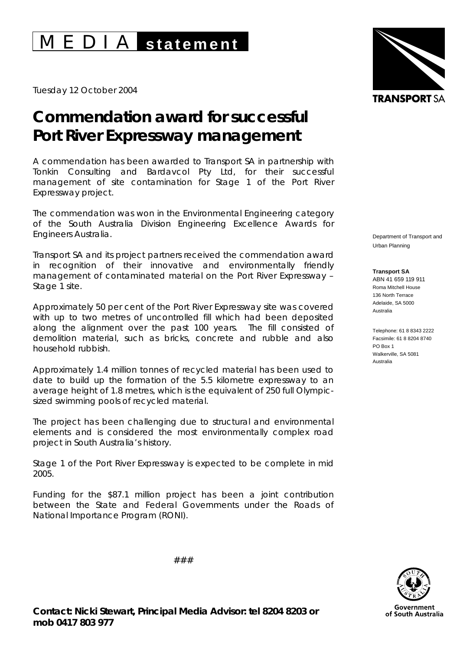## M E D I A **statement**

Tuesday 12 October 2004

## **Commendation award for successful Port River Expressway management**

A commendation has been awarded to Transport SA in partnership with Tonkin Consulting and Bardavcol Pty Ltd, for their successful management of site contamination for Stage 1 of the Port River Expressway project.

The commendation was won in the Environmental Engineering category of the South Australia Division Engineering Excellence Awards for Engineers Australia.

Transport SA and its project partners received the commendation award in recognition of their innovative and environmentally friendly management of contaminated material on the Port River Expressway – Stage 1 site.

Approximately 50 per cent of the Port River Expressway site was covered with up to two metres of uncontrolled fill which had been deposited along the alignment over the past 100 years. The fill consisted of demolition material, such as bricks, concrete and rubble and also household rubbish.

Approximately 1.4 million tonnes of recycled material has been used to date to build up the formation of the 5.5 kilometre expressway to an average height of 1.8 metres, which is the equivalent of 250 full Olympicsized swimming pools of recycled material.

The project has been challenging due to structural and environmental elements and is considered the most environmentally complex road project in South Australia's history.

Stage 1 of the Port River Expressway is expected to be complete in mid 2005.

Funding for the \$87.1 million project has been a joint contribution between the State and Federal Governments under the *Roads of National Importance Program* (RONI).



Department of Transport and Urban Planning

**Transport SA**  ABN 41 659 119 911 Roma Mitchell House 136 North Terrace Adelaide, SA 5000 Australia

Telephone: 61 8 8343 2222 Facsimile: 61 8 8204 8740 PO Box 1 Walkerville, SA 5081 Australia



###